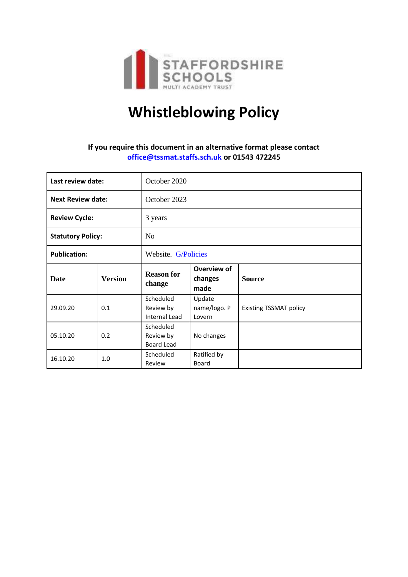

# **Whistleblowing Policy**

## **If you require this document in an alternative format please contact [office@tssmat.staffs.sch.uk](mailto:office@tssmat.staffs.sch.uk) or 01543 472245**

| Last review date:        |                | October 2020                                   |                                  |                               |
|--------------------------|----------------|------------------------------------------------|----------------------------------|-------------------------------|
| <b>Next Review date:</b> |                | October 2023                                   |                                  |                               |
| <b>Review Cycle:</b>     |                | 3 years                                        |                                  |                               |
| <b>Statutory Policy:</b> |                | N <sub>o</sub>                                 |                                  |                               |
| <b>Publication:</b>      |                | Website. G/Policies                            |                                  |                               |
| Date                     | <b>Version</b> | <b>Reason for</b><br>change                    | Overview of<br>changes<br>made   | <b>Source</b>                 |
| 29.09.20                 | 0.1            | Scheduled<br>Review by<br><b>Internal Lead</b> | Update<br>name/logo. P<br>Lovern | <b>Existing TSSMAT policy</b> |
| 05.10.20                 | 0.2            | Scheduled<br>Review by<br><b>Board Lead</b>    | No changes                       |                               |
| 16.10.20                 | 1.0            | Scheduled<br>Review                            | Ratified by<br><b>Board</b>      |                               |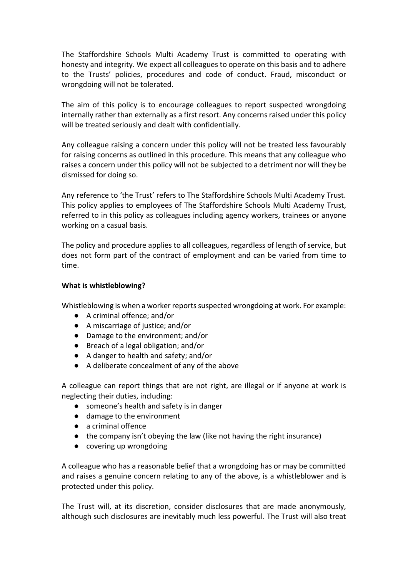The Staffordshire Schools Multi Academy Trust is committed to operating with honesty and integrity. We expect all colleagues to operate on this basis and to adhere to the Trusts' policies, procedures and code of conduct. Fraud, misconduct or wrongdoing will not be tolerated.

The aim of this policy is to encourage colleagues to report suspected wrongdoing internally rather than externally as a first resort. Any concerns raised under this policy will be treated seriously and dealt with confidentially.

Any colleague raising a concern under this policy will not be treated less favourably for raising concerns as outlined in this procedure. This means that any colleague who raises a concern under this policy will not be subjected to a detriment nor will they be dismissed for doing so.

Any reference to 'the Trust' refers to The Staffordshire Schools Multi Academy Trust. This policy applies to employees of The Staffordshire Schools Multi Academy Trust, referred to in this policy as colleagues including agency workers, trainees or anyone working on a casual basis.

The policy and procedure applies to all colleagues, regardless of length of service, but does not form part of the contract of employment and can be varied from time to time.

#### **What is whistleblowing?**

Whistleblowing is when a worker reports suspected wrongdoing at work. For example:

- A criminal offence; and/or
- A miscarriage of justice; and/or
- Damage to the environment; and/or
- Breach of a legal obligation; and/or
- A danger to health and safety; and/or
- A deliberate concealment of any of the above

A colleague can report things that are not right, are illegal or if anyone at work is neglecting their duties, including:

- someone's health and safety is in danger
- damage to the environment
- a criminal offence
- the company isn't obeying the law (like not having the right insurance)
- covering up wrongdoing

A colleague who has a reasonable belief that a wrongdoing has or may be committed and raises a genuine concern relating to any of the above, is a whistleblower and is protected under this policy.

The Trust will, at its discretion, consider disclosures that are made anonymously, although such disclosures are inevitably much less powerful. The Trust will also treat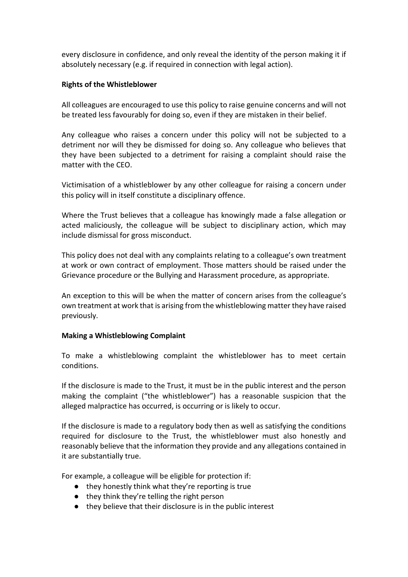every disclosure in confidence, and only reveal the identity of the person making it if absolutely necessary (e.g. if required in connection with legal action).

#### **Rights of the Whistleblower**

All colleagues are encouraged to use this policy to raise genuine concerns and will not be treated less favourably for doing so, even if they are mistaken in their belief.

Any colleague who raises a concern under this policy will not be subjected to a detriment nor will they be dismissed for doing so. Any colleague who believes that they have been subjected to a detriment for raising a complaint should raise the matter with the CEO.

Victimisation of a whistleblower by any other colleague for raising a concern under this policy will in itself constitute a disciplinary offence.

Where the Trust believes that a colleague has knowingly made a false allegation or acted maliciously, the colleague will be subject to disciplinary action, which may include dismissal for gross misconduct.

This policy does not deal with any complaints relating to a colleague's own treatment at work or own contract of employment. Those matters should be raised under the Grievance procedure or the Bullying and Harassment procedure, as appropriate.

An exception to this will be when the matter of concern arises from the colleague's own treatment at work that is arising from the whistleblowing matter they have raised previously.

#### **Making a Whistleblowing Complaint**

To make a whistleblowing complaint the whistleblower has to meet certain conditions.

If the disclosure is made to the Trust, it must be in the public interest and the person making the complaint ("the whistleblower") has a reasonable suspicion that the alleged malpractice has occurred, is occurring or is likely to occur.

If the disclosure is made to a regulatory body then as well as satisfying the conditions required for disclosure to the Trust, the whistleblower must also honestly and reasonably believe that the information they provide and any allegations contained in it are substantially true.

For example, a colleague will be eligible for protection if:

- they honestly think what they're reporting is true
- they think they're telling the right person
- they believe that their disclosure is in the public interest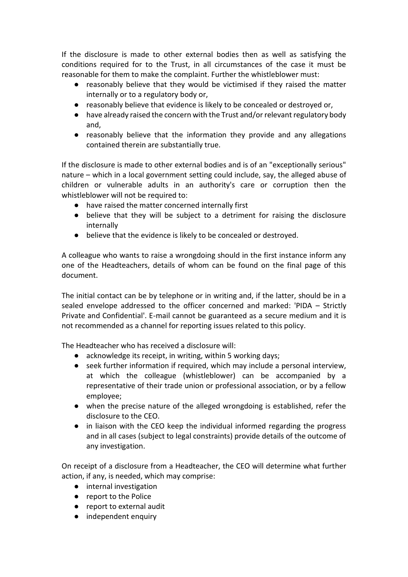If the disclosure is made to other external bodies then as well as satisfying the conditions required for to the Trust, in all circumstances of the case it must be reasonable for them to make the complaint. Further the whistleblower must:

- reasonably believe that they would be victimised if they raised the matter internally or to a regulatory body or,
- reasonably believe that evidence is likely to be concealed or destroyed or,
- have already raised the concern with the Trust and/or relevant regulatory body and,
- reasonably believe that the information they provide and any allegations contained therein are substantially true.

If the disclosure is made to other external bodies and is of an "exceptionally serious" nature – which in a local government setting could include, say, the alleged abuse of children or vulnerable adults in an authority's care or corruption then the whistleblower will not be required to:

- have raised the matter concerned internally first
- believe that they will be subject to a detriment for raising the disclosure internally
- believe that the evidence is likely to be concealed or destroyed.

A colleague who wants to raise a wrongdoing should in the first instance inform any one of the Headteachers, details of whom can be found on the final page of this document.

The initial contact can be by telephone or in writing and, if the latter, should be in a sealed envelope addressed to the officer concerned and marked: 'PIDA – Strictly Private and Confidential'. E-mail cannot be guaranteed as a secure medium and it is not recommended as a channel for reporting issues related to this policy.

The Headteacher who has received a disclosure will:

- acknowledge its receipt, in writing, within 5 working days;
- seek further information if required, which may include a personal interview, at which the colleague (whistleblower) can be accompanied by a representative of their trade union or professional association, or by a fellow employee;
- when the precise nature of the alleged wrongdoing is established, refer the disclosure to the CEO.
- in liaison with the CEO keep the individual informed regarding the progress and in all cases (subject to legal constraints) provide details of the outcome of any investigation.

On receipt of a disclosure from a Headteacher, the CEO will determine what further action, if any, is needed, which may comprise:

- internal investigation
- report to the Police
- report to external audit
- independent enquiry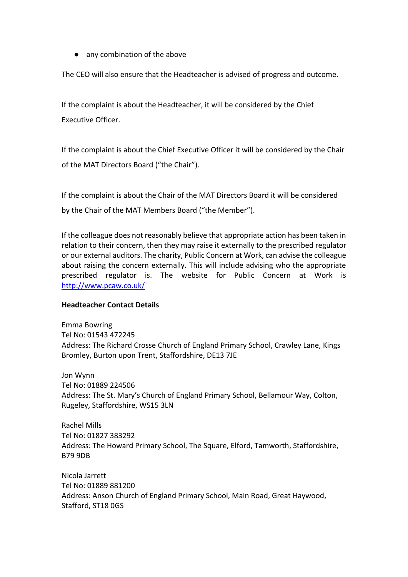● any combination of the above

The CEO will also ensure that the Headteacher is advised of progress and outcome.

If the complaint is about the Headteacher, it will be considered by the Chief Executive Officer.

If the complaint is about the Chief Executive Officer it will be considered by the Chair of the MAT Directors Board ("the Chair").

If the complaint is about the Chair of the MAT Directors Board it will be considered by the Chair of the MAT Members Board ("the Member").

If the colleague does not reasonably believe that appropriate action has been taken in relation to their concern, then they may raise it externally to the prescribed regulator or our external auditors. The charity, Public Concern at Work, can advise the colleague about raising the concern externally. This will include advising who the appropriate prescribed regulator is. The website for Public Concern at Work is <http://www.pcaw.co.uk/>

#### **Headteacher Contact Details**

Emma Bowring Tel No: 01543 472245 Address: The Richard Crosse Church of England Primary School, Crawley Lane, Kings Bromley, Burton upon Trent, Staffordshire, DE13 7JE

Jon Wynn Tel No: 01889 224506 Address: The St. Mary's Church of England Primary School, Bellamour Way, Colton, Rugeley, Staffordshire, WS15 3LN

Rachel Mills Tel No: 01827 383292 Address: The Howard Primary School, The Square, Elford, Tamworth, Staffordshire, B79 9DB

Nicola Jarrett Tel No: 01889 881200 Address: Anson Church of England Primary School, Main Road, Great Haywood, Stafford, ST18 0GS